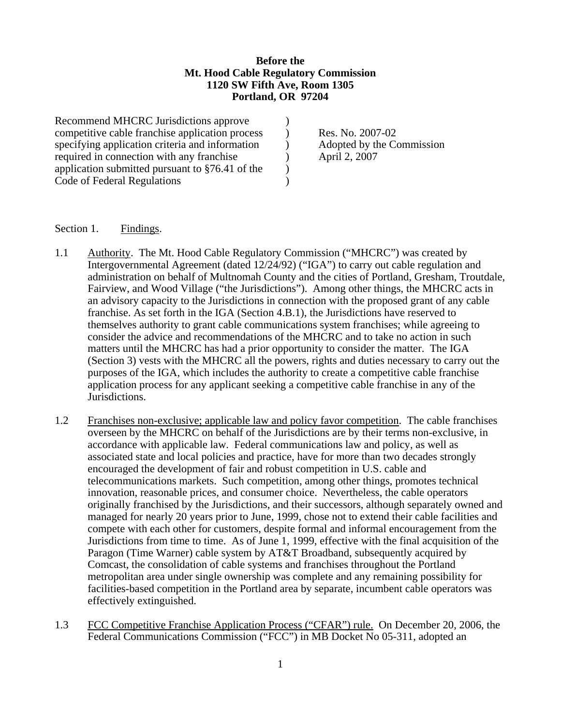## **Before the Mt. Hood Cable Regulatory Commission 1120 SW Fifth Ave, Room 1305 Portland, OR 97204**

Recommend MHCRC Jurisdictions approve  $\qquad$  ) competitive cable franchise application process ) Res. No. 2007-02 specifying application criteria and information (a) Adopted by the Commission required in connection with any franchise (a) April 2, 2007 application submitted pursuant to  $\S76.41$  of the  $\qquad$ ) Code of Federal Regulations )

## Section 1. Findings.

- 1.1 Authority. The Mt. Hood Cable Regulatory Commission ("MHCRC") was created by Intergovernmental Agreement (dated 12/24/92) ("IGA") to carry out cable regulation and administration on behalf of Multnomah County and the cities of Portland, Gresham, Troutdale, Fairview, and Wood Village ("the Jurisdictions"). Among other things, the MHCRC acts in an advisory capacity to the Jurisdictions in connection with the proposed grant of any cable franchise. As set forth in the IGA (Section 4.B.1), the Jurisdictions have reserved to themselves authority to grant cable communications system franchises; while agreeing to consider the advice and recommendations of the MHCRC and to take no action in such matters until the MHCRC has had a prior opportunity to consider the matter. The IGA (Section 3) vests with the MHCRC all the powers, rights and duties necessary to carry out the purposes of the IGA, which includes the authority to create a competitive cable franchise application process for any applicant seeking a competitive cable franchise in any of the Jurisdictions.
- 1.2 Franchises non-exclusive; applicable law and policy favor competition. The cable franchises overseen by the MHCRC on behalf of the Jurisdictions are by their terms non-exclusive, in accordance with applicable law. Federal communications law and policy, as well as associated state and local policies and practice, have for more than two decades strongly encouraged the development of fair and robust competition in U.S. cable and telecommunications markets. Such competition, among other things, promotes technical innovation, reasonable prices, and consumer choice. Nevertheless, the cable operators originally franchised by the Jurisdictions, and their successors, although separately owned and managed for nearly 20 years prior to June, 1999, chose not to extend their cable facilities and compete with each other for customers, despite formal and informal encouragement from the Jurisdictions from time to time. As of June 1, 1999, effective with the final acquisition of the Paragon (Time Warner) cable system by AT&T Broadband, subsequently acquired by Comcast, the consolidation of cable systems and franchises throughout the Portland metropolitan area under single ownership was complete and any remaining possibility for facilities-based competition in the Portland area by separate, incumbent cable operators was effectively extinguished.
- 1.3 FCC Competitive Franchise Application Process ("CFAR") rule. On December 20, 2006, the Federal Communications Commission ("FCC") in MB Docket No 05-311, adopted an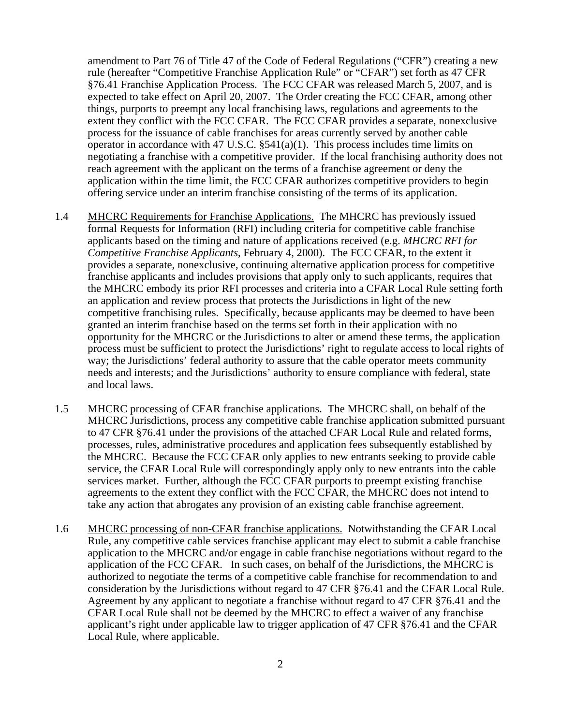amendment to Part 76 of Title 47 of the Code of Federal Regulations ("CFR") creating a new rule (hereafter "Competitive Franchise Application Rule" or "CFAR") set forth as 47 CFR §76.41 Franchise Application Process. The FCC CFAR was released March 5, 2007, and is expected to take effect on April 20, 2007. The Order creating the FCC CFAR, among other things, purports to preempt any local franchising laws, regulations and agreements to the extent they conflict with the FCC CFAR. The FCC CFAR provides a separate, nonexclusive process for the issuance of cable franchises for areas currently served by another cable operator in accordance with 47 U.S.C. §541(a)(1). This process includes time limits on negotiating a franchise with a competitive provider. If the local franchising authority does not reach agreement with the applicant on the terms of a franchise agreement or deny the application within the time limit, the FCC CFAR authorizes competitive providers to begin offering service under an interim franchise consisting of the terms of its application.

- 1.4 MHCRC Requirements for Franchise Applications. The MHCRC has previously issued formal Requests for Information (RFI) including criteria for competitive cable franchise applicants based on the timing and nature of applications received (e.g. *MHCRC RFI for Competitive Franchise Applicants*, February 4, 2000). The FCC CFAR, to the extent it provides a separate, nonexclusive, continuing alternative application process for competitive franchise applicants and includes provisions that apply only to such applicants, requires that the MHCRC embody its prior RFI processes and criteria into a CFAR Local Rule setting forth an application and review process that protects the Jurisdictions in light of the new competitive franchising rules. Specifically, because applicants may be deemed to have been granted an interim franchise based on the terms set forth in their application with no opportunity for the MHCRC or the Jurisdictions to alter or amend these terms, the application process must be sufficient to protect the Jurisdictions' right to regulate access to local rights of way; the Jurisdictions' federal authority to assure that the cable operator meets community needs and interests; and the Jurisdictions' authority to ensure compliance with federal, state and local laws.
- 1.5 MHCRC processing of CFAR franchise applications. The MHCRC shall, on behalf of the MHCRC Jurisdictions, process any competitive cable franchise application submitted pursuant to 47 CFR §76.41 under the provisions of the attached CFAR Local Rule and related forms, processes, rules, administrative procedures and application fees subsequently established by the MHCRC. Because the FCC CFAR only applies to new entrants seeking to provide cable service, the CFAR Local Rule will correspondingly apply only to new entrants into the cable services market. Further, although the FCC CFAR purports to preempt existing franchise agreements to the extent they conflict with the FCC CFAR, the MHCRC does not intend to take any action that abrogates any provision of an existing cable franchise agreement.
- 1.6 MHCRC processing of non-CFAR franchise applications. Notwithstanding the CFAR Local Rule, any competitive cable services franchise applicant may elect to submit a cable franchise application to the MHCRC and/or engage in cable franchise negotiations without regard to the application of the FCC CFAR. In such cases, on behalf of the Jurisdictions, the MHCRC is authorized to negotiate the terms of a competitive cable franchise for recommendation to and consideration by the Jurisdictions without regard to 47 CFR §76.41 and the CFAR Local Rule. Agreement by any applicant to negotiate a franchise without regard to 47 CFR §76.41 and the CFAR Local Rule shall not be deemed by the MHCRC to effect a waiver of any franchise applicant's right under applicable law to trigger application of 47 CFR §76.41 and the CFAR Local Rule, where applicable.